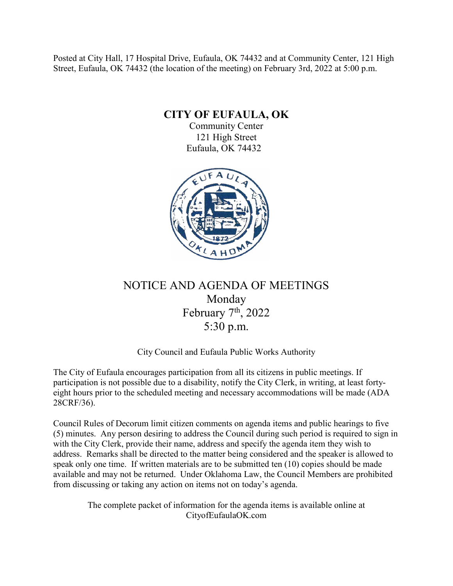Posted at City Hall, 17 Hospital Drive, Eufaula, OK 74432 and at Community Center, 121 High Street, Eufaula, OK 74432 (the location of the meeting) on February 3rd, 2022 at 5:00 p.m.

**CITY OF EUFAULA, OK**

Community Center 121 High Street Eufaula, OK 74432



# NOTICE AND AGENDA OF MEETINGS Monday February 7<sup>th</sup>, 2022 5:30 p.m.

# City Council and Eufaula Public Works Authority

The City of Eufaula encourages participation from all its citizens in public meetings. If participation is not possible due to a disability, notify the City Clerk, in writing, at least fortyeight hours prior to the scheduled meeting and necessary accommodations will be made (ADA 28CRF/36).

Council Rules of Decorum limit citizen comments on agenda items and public hearings to five (5) minutes. Any person desiring to address the Council during such period is required to sign in with the City Clerk, provide their name, address and specify the agenda item they wish to address. Remarks shall be directed to the matter being considered and the speaker is allowed to speak only one time. If written materials are to be submitted ten (10) copies should be made available and may not be returned. Under Oklahoma Law, the Council Members are prohibited from discussing or taking any action on items not on today's agenda.

The complete packet of information for the agenda items is available online at CityofEufaulaOK.com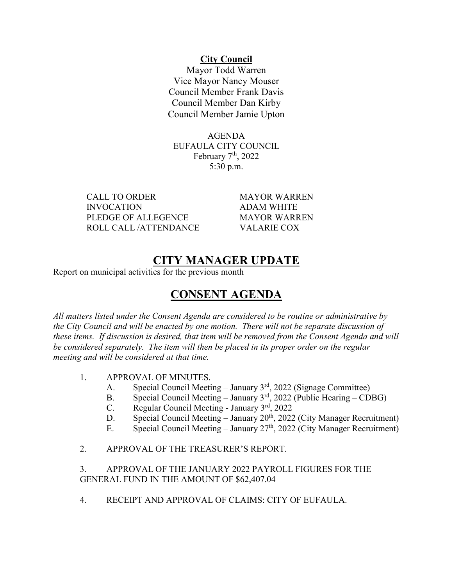#### **City Council**

Mayor Todd Warren Vice Mayor Nancy Mouser Council Member Frank Davis Council Member Dan Kirby Council Member Jamie Upton

AGENDA EUFAULA CITY COUNCIL February 7<sup>th</sup>, 2022 5:30 p.m.

CALL TO ORDER MAYOR WARREN INVOCATION ADAM WHITE PLEDGE OF ALLEGENCE MAYOR WARREN ROLL CALL /ATTENDANCE VALARIE COX

# **CITY MANAGER UPDATE**

Report on municipal activities for the previous month

# **CONSENT AGENDA**

*All matters listed under the Consent Agenda are considered to be routine or administrative by the City Council and will be enacted by one motion. There will not be separate discussion of these items. If discussion is desired, that item will be removed from the Consent Agenda and will be considered separately. The item will then be placed in its proper order on the regular meeting and will be considered at that time.*

- 1. APPROVAL OF MINUTES.
	- A. Special Council Meeting January 3<sup>rd</sup>, 2022 (Signage Committee)
	- B. Special Council Meeting January 3<sup>rd</sup>, 2022 (Public Hearing CDBG)
	- C. Regular Council Meeting January  $3<sup>rd</sup>$ , 2022
	- D. Special Council Meeting January 20<sup>th</sup>, 2022 (City Manager Recruitment)
	- E. Special Council Meeting January  $27<sup>th</sup>$ , 2022 (City Manager Recruitment)
- 2. APPROVAL OF THE TREASURER'S REPORT.

3. APPROVAL OF THE JANUARY 2022 PAYROLL FIGURES FOR THE GENERAL FUND IN THE AMOUNT OF \$62,407.04

4. RECEIPT AND APPROVAL OF CLAIMS: CITY OF EUFAULA.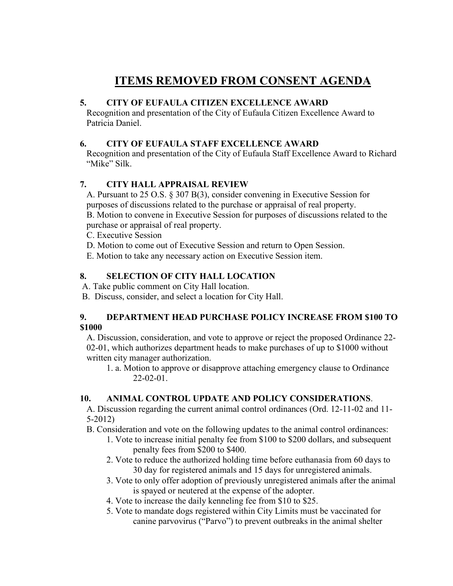# **ITEMS REMOVED FROM CONSENT AGENDA**

#### **5. CITY OF EUFAULA CITIZEN EXCELLENCE AWARD**

Recognition and presentation of the City of Eufaula Citizen Excellence Award to Patricia Daniel.

## **6. CITY OF EUFAULA STAFF EXCELLENCE AWARD**

Recognition and presentation of the City of Eufaula Staff Excellence Award to Richard "Mike" Silk.

# **7. CITY HALL APPRAISAL REVIEW**

A. Pursuant to 25 O.S. § 307 B(3), consider convening in Executive Session for purposes of discussions related to the purchase or appraisal of real property. B. Motion to convene in Executive Session for purposes of discussions related to the purchase or appraisal of real property.

C. Executive Session

- D. Motion to come out of Executive Session and return to Open Session.
- E. Motion to take any necessary action on Executive Session item.

# **8. SELECTION OF CITY HALL LOCATION**

- A. Take public comment on City Hall location.
- B. Discuss, consider, and select a location for City Hall.

#### **9. DEPARTMENT HEAD PURCHASE POLICY INCREASE FROM \$100 TO \$1000**

A. Discussion, consideration, and vote to approve or reject the proposed Ordinance 22- 02-01, which authorizes department heads to make purchases of up to \$1000 without written city manager authorization.

1. a. Motion to approve or disapprove attaching emergency clause to Ordinance 22-02-01.

### **10. ANIMAL CONTROL UPDATE AND POLICY CONSIDERATIONS**.

A. Discussion regarding the current animal control ordinances (Ord. 12-11-02 and 11- 5-2012)

B. Consideration and vote on the following updates to the animal control ordinances:

- 1. Vote to increase initial penalty fee from \$100 to \$200 dollars, and subsequent penalty fees from \$200 to \$400.
- 2. Vote to reduce the authorized holding time before euthanasia from 60 days to 30 day for registered animals and 15 days for unregistered animals.
- 3. Vote to only offer adoption of previously unregistered animals after the animal is spayed or neutered at the expense of the adopter.
- 4. Vote to increase the daily kenneling fee from \$10 to \$25.
- 5. Vote to mandate dogs registered within City Limits must be vaccinated for canine parvovirus ("Parvo") to prevent outbreaks in the animal shelter